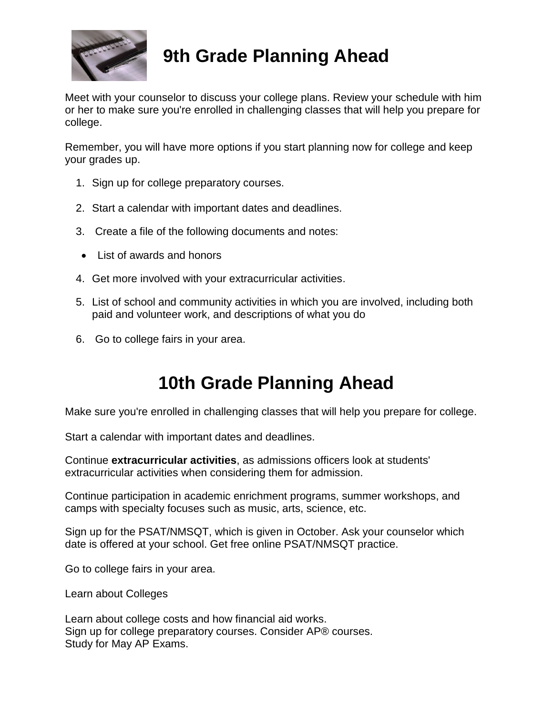

# **9th Grade Planning Ahead**

Meet with your counselor to discuss your college plans. Review your schedule with him or her to make sure you're enrolled in challenging classes that will help you prepare for college.

Remember, you will have more options if you start planning now for college and keep your grades up.

- 1. Sign up for college preparatory courses.
- 2. Start a calendar with important dates and deadlines.
- 3. Create a file of the following documents and notes:
- List of awards and honors
- 4. Get more involved with your extracurricular activities.
- 5. List of school and community activities in which you are involved, including both paid and volunteer work, and descriptions of what you do
- 6. Go to college fairs in your area.

# **10th Grade Planning Ahead**

Make sure you're enrolled in challenging classes that will help you prepare for college.

Start a calendar with important dates and deadlines.

Continue **extracurricular activities**, as admissions officers look at students' extracurricular activities when considering them for admission.

Continue participation in academic enrichment programs, summer workshops, and camps with specialty focuses such as music, arts, science, etc.

Sign up for the PSAT/NMSQT, which is given in October. Ask your counselor which date is offered at your school. Get free online PSAT/NMSQT practice.

Go to college fairs in your area.

Learn about Colleges

Learn about college costs and how financial aid works. Sign up for college preparatory courses. Consider AP® courses. Study for May AP Exams.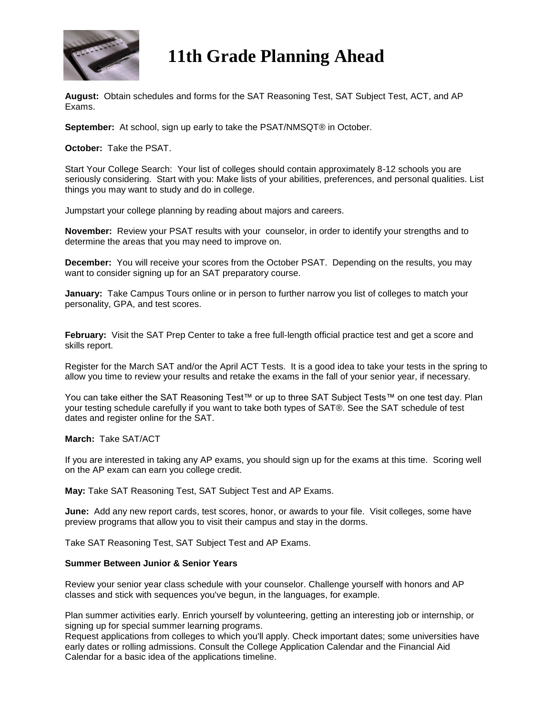

## **11th Grade Planning Ahead**

**August:** Obtain schedules and forms for the SAT Reasoning Test, SAT Subject Test, ACT, and AP Exams.

**September:** At school, sign up early to take the PSAT/NMSQT® in October.

**October:** Take the PSAT.

Start Your College Search: Your list of colleges should contain approximately 8-12 schools you are seriously considering. Start with you: Make lists of your abilities, preferences, and personal qualities. List things you may want to study and do in college.

Jumpstart your college planning by reading about majors and careers.

**November:** Review your PSAT results with your counselor, in order to identify your strengths and to determine the areas that you may need to improve on.

**December:** You will receive your scores from the October PSAT. Depending on the results, you may want to consider signing up for an SAT preparatory course.

**January:** Take Campus Tours online or in person to further narrow you list of colleges to match your personality, GPA, and test scores.

**February:** Visit the SAT Prep Center to take a free full-length official practice test and get a score and skills report.

Register for the March SAT and/or the April ACT Tests. It is a good idea to take your tests in the spring to allow you time to review your results and retake the exams in the fall of your senior year, if necessary.

You can take either the SAT Reasoning Test™ or up to three SAT Subject Tests™ on one test day. Plan your testing schedule carefully if you want to take both types of SAT®. See the SAT schedule of test dates and register online for the SAT.

#### **March:** Take SAT/ACT

If you are interested in taking any AP exams, you should sign up for the exams at this time. Scoring well on the AP exam can earn you college credit.

**May:** Take SAT Reasoning Test, SAT Subject Test and AP Exams.

**June:** Add any new report cards, test scores, honor, or awards to your file. Visit colleges, some have preview programs that allow you to visit their campus and stay in the dorms.

Take SAT Reasoning Test, SAT Subject Test and AP Exams.

#### **Summer Between Junior & Senior Years**

Review your senior year class schedule with your counselor. Challenge yourself with honors and AP classes and stick with sequences you've begun, in the languages, for example.

Plan summer activities early. Enrich yourself by volunteering, getting an interesting job or internship, or signing up for special summer learning programs.

Request applications from colleges to which you'll apply. Check important dates; some universities have early dates or rolling admissions. Consult the College Application Calendar and the Financial Aid Calendar for a basic idea of the applications timeline.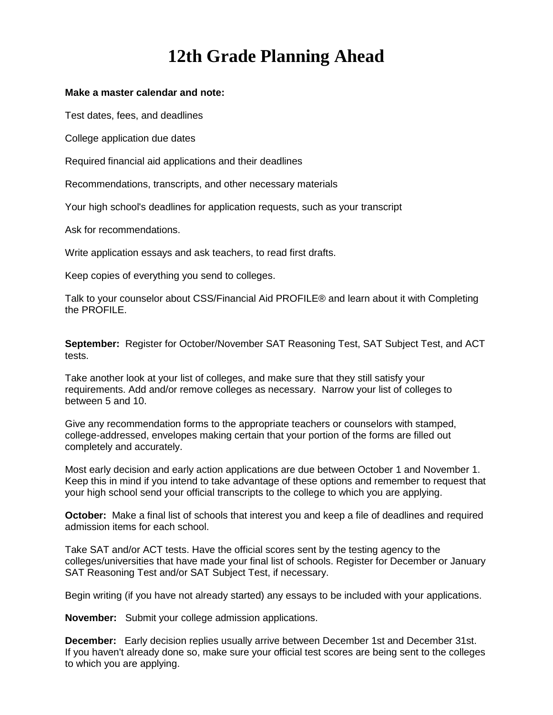# **12th Grade Planning Ahead**

#### **Make a master calendar and note:**

Test dates, fees, and deadlines

College application due dates

Required financial aid applications and their deadlines

Recommendations, transcripts, and other necessary materials

Your high school's deadlines for application requests, such as your transcript

Ask for recommendations.

Write application essays and ask teachers, to read first drafts.

Keep copies of everything you send to colleges.

Talk to your counselor about CSS/Financial Aid PROFILE® and learn about it with Completing the PROFILE.

**September:** Register for October/November SAT Reasoning Test, SAT Subject Test, and ACT tests.

Take another look at your list of colleges, and make sure that they still satisfy your requirements. Add and/or remove colleges as necessary. Narrow your list of colleges to between 5 and 10.

Give any recommendation forms to the appropriate teachers or counselors with stamped, college-addressed, envelopes making certain that your portion of the forms are filled out completely and accurately.

Most early decision and early action applications are due between October 1 and November 1. Keep this in mind if you intend to take advantage of these options and remember to request that your high school send your official transcripts to the college to which you are applying.

**October:** Make a final list of schools that interest you and keep a file of deadlines and required admission items for each school.

Take SAT and/or ACT tests. Have the official scores sent by the testing agency to the colleges/universities that have made your final list of schools. Register for December or January SAT Reasoning Test and/or SAT Subject Test, if necessary.

Begin writing (if you have not already started) any essays to be included with your applications.

**November:** Submit your college admission applications.

**December:** Early decision replies usually arrive between December 1st and December 31st. If you haven't already done so, make sure your official test scores are being sent to the colleges to which you are applying.